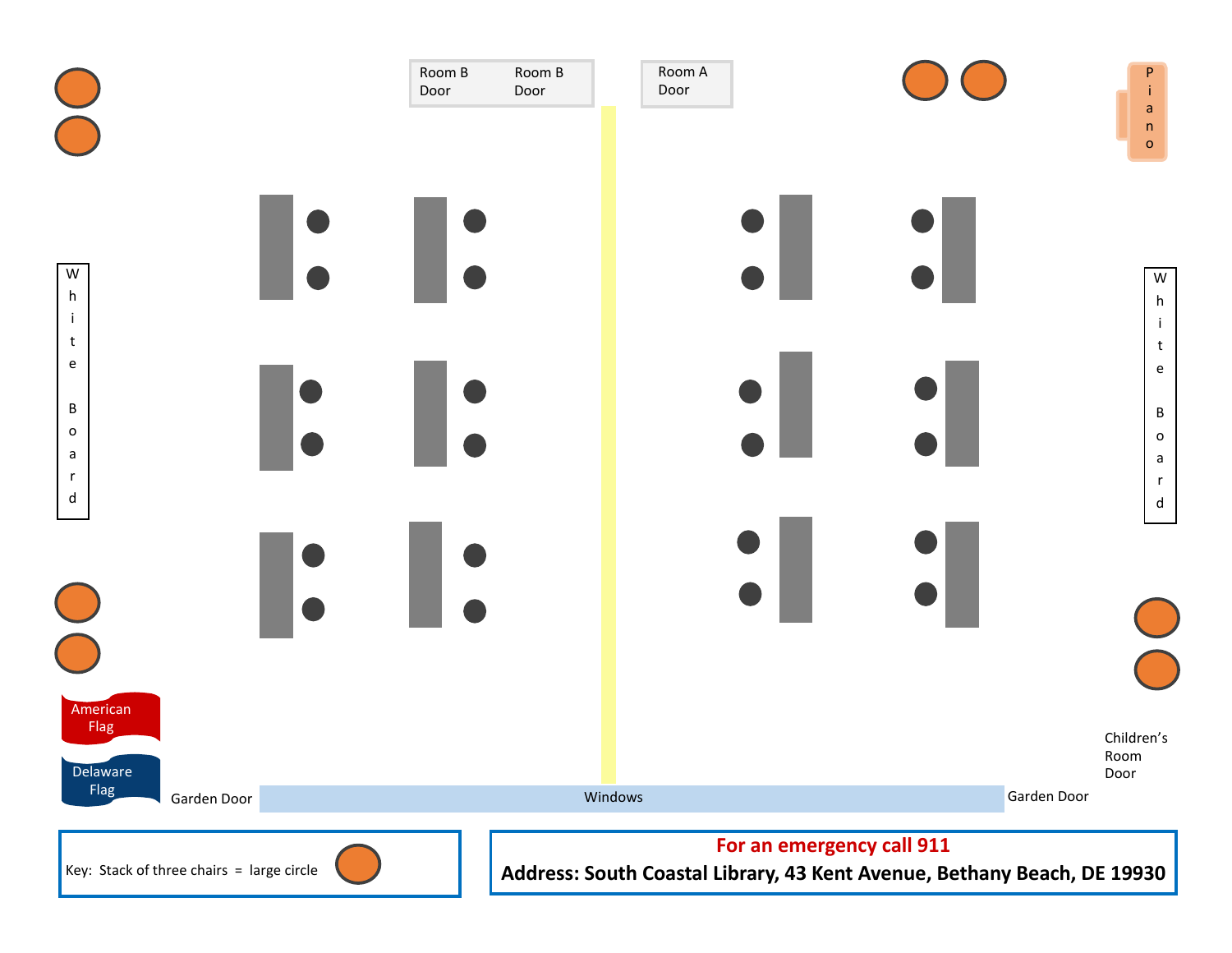